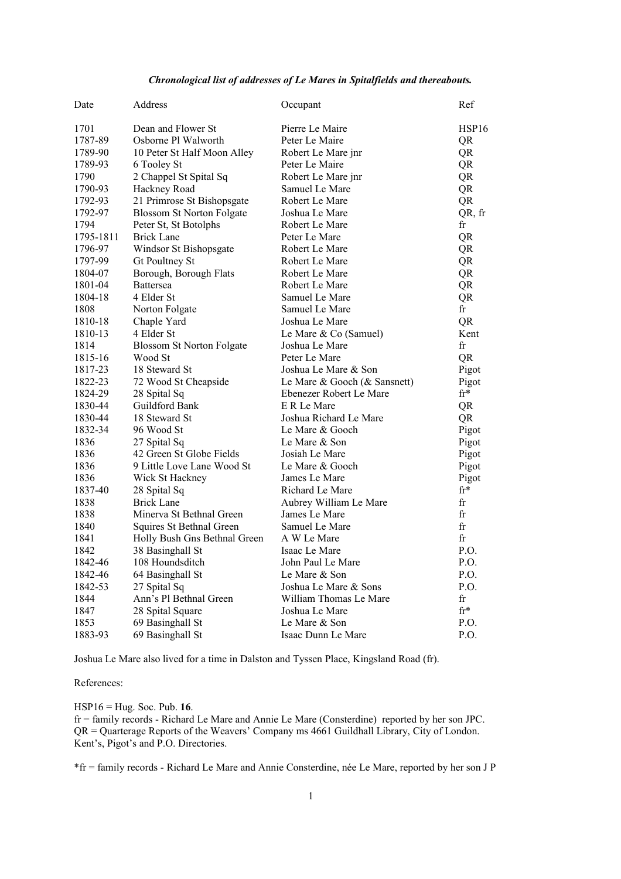## *Chronological list of addresses of Le Mares in Spitalfields and thereabouts.*

| Date      | Address                          | Occupant                     | Ref             |
|-----------|----------------------------------|------------------------------|-----------------|
| 1701      | Dean and Flower St               | Pierre Le Maire              | HSP16           |
| 1787-89   | Osborne Pl Walworth              | Peter Le Maire               | QR              |
| 1789-90   | 10 Peter St Half Moon Alley      | Robert Le Mare jnr           | QR              |
| 1789-93   | 6 Tooley St                      | Peter Le Maire               | QR              |
| 1790      | 2 Chappel St Spital Sq           | Robert Le Mare jnr           | QR              |
| 1790-93   | Hackney Road                     | Samuel Le Mare               | QR              |
| 1792-93   | 21 Primrose St Bishopsgate       | Robert Le Mare               | QR              |
| 1792-97   | <b>Blossom St Norton Folgate</b> | Joshua Le Mare               | QR, fr          |
| 1794      | Peter St, St Botolphs            | Robert Le Mare               | fr              |
| 1795-1811 | Brick Lane                       | Peter Le Mare                | QR              |
| 1796-97   | Windsor St Bishopsgate           | Robert Le Mare               | QR              |
| 1797-99   | Gt Poultney St                   | Robert Le Mare               | QR              |
| 1804-07   | Borough, Borough Flats           | Robert Le Mare               | QR              |
| 1801-04   | <b>Battersea</b>                 | Robert Le Mare               | QR              |
| 1804-18   | 4 Elder St                       | Samuel Le Mare               | QR              |
| 1808      | Norton Folgate                   | Samuel Le Mare               | fr              |
| 1810-18   | Chaple Yard                      | Joshua Le Mare               | QR              |
| 1810-13   | 4 Elder St                       | Le Mare & Co (Samuel)        | Kent            |
| 1814      | <b>Blossom St Norton Folgate</b> | Joshua Le Mare               | fr              |
| 1815-16   | Wood St                          | Peter Le Mare                | QR              |
| 1817-23   | 18 Steward St                    | Joshua Le Mare & Son         | Pigot           |
| 1822-23   | 72 Wood St Cheapside             | Le Mare & Gooch (& Sansnett) | Pigot           |
| 1824-29   | 28 Spital Sq                     | Ebenezer Robert Le Mare      | $\mathrm{fr}^*$ |
| 1830-44   | Guildford Bank                   | E R Le Mare                  | QR              |
| 1830-44   | 18 Steward St                    | Joshua Richard Le Mare       | QR              |
| 1832-34   | 96 Wood St                       | Le Mare & Gooch              | Pigot           |
| 1836      | 27 Spital Sq                     | Le Mare & Son                | Pigot           |
| 1836      | 42 Green St Globe Fields         | Josiah Le Mare               | Pigot           |
| 1836      | 9 Little Love Lane Wood St       | Le Mare & Gooch              | Pigot           |
| 1836      | Wick St Hackney                  | James Le Mare                | Pigot           |
| 1837-40   | 28 Spital Sq                     | Richard Le Mare              | $fr*$           |
| 1838      | Brick Lane                       | Aubrey William Le Mare       | fr              |
| 1838      | Minerva St Bethnal Green         | James Le Mare                | fr              |
| 1840      | Squires St Bethnal Green         | Samuel Le Mare               | fr              |
| 1841      | Holly Bush Gns Bethnal Green     | A W Le Mare                  | fr              |
| 1842      | 38 Basinghall St                 | Isaac Le Mare                | P.O.            |
| 1842-46   | 108 Houndsditch                  | John Paul Le Mare            | P.O.            |
| 1842-46   | 64 Basinghall St                 | Le Mare & Son                | P.O.            |
| 1842-53   | 27 Spital Sq                     | Joshua Le Mare & Sons        | P.O.            |
| 1844      | Ann's Pl Bethnal Green           | William Thomas Le Mare       | fr              |
| 1847      | 28 Spital Square                 | Joshua Le Mare               | $\mathrm{fr}^*$ |
| 1853      | 69 Basinghall St                 | Le Mare & Son                | P.O.            |
| 1883-93   | 69 Basinghall St                 | Isaac Dunn Le Mare           | P.O.            |

Joshua Le Mare also lived for a time in Dalston and Tyssen Place, Kingsland Road (fr).

## References:

HSP16 = Hug. Soc. Pub. **16**.

fr = family records - Richard Le Mare and Annie Le Mare (Consterdine) reported by her son JPC. QR = Quarterage Reports of the Weavers' Company ms 4661 Guildhall Library, City of London. Kent's, Pigot's and P.O. Directories.

\*fr = family records - Richard Le Mare and Annie Consterdine, née Le Mare, reported by her son J P